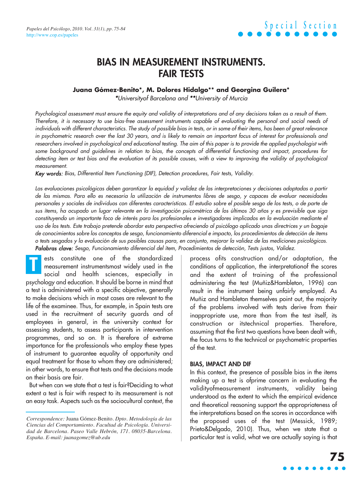### **BIAS IN MEASUREMENT INSTRUMENTS. FAIR TESTS**

#### **Juana Gómez-Benito\*, M. Dolores Hidalgo\*\* and Georgina Guilera\***

\*Universityof Barcelona and \*\*University of Murcia

Psychological assessment must ensure the equity and validity of interpretations and of any decisions taken as a result of them. Therefore, it is necessary to use bias-free assessment instruments capable of evaluating the personal and social needs of individuals with different characteristics. The study of possible bias in tests, or in some of their items, has been of great relevance in psychometric research over the last 30 years, and is likely to remain an important focus of interest for professionals and researchers involved in psychological and educational testing. The aim of this paper is to provide the applied psychologist with some background and guidelines in relation to bias, the concepts of differential functioning and impact, procedures for detecting item or test bias and the evaluation of its possible causes, with a view to improving the validity of psychological measurement.

Key words: Bias, Differential Item Functioning (DIF), Detection procedures, Fair tests, Validity.

Las evaluaciones psicológicas deben garantizar la equidad y validez de las interpretaciones y decisiones adoptadas a partir de las mismas. Para ello es necesaria la utilización de instrumentos libres de sesgo, y capaces de evaluar necesidades personales y sociales de individuos con diferentes características. El estudio sobre el posible sesgo de los tests, o de parte de sus ítems, ha ocupado un lugar relevante en la investigación psicométrica de los últimos 30 años y es previsible que siga constituyendo un importante foco de interés para los profesionales e investigadores implicados en la evaluación mediante el uso de los tests. Este trabajo pretende abordar esta perspectiva ofreciendo al psicólogo aplicado unas directrices y un bagaje de conocimientos sobre los conceptos de sesgo, funcionamiento diferencial e impacto, los procedimientos de detección de ítems o tests sesgados y la evaluación de sus posibles causas para, en conjunto, mejorar la validez de las mediciones psicológicas. Palabras clave: Sesgo, Funcionamiento diferencial del ítem, Procedimientos de detección, Tests justos, Validez.

ests constitute one of the standardized measurement instrumentsmost widely used in the social and health sciences, especially in psychology and education. It should be borne in mind that a test is administered with a specific objective, generally to make decisions which in most cases are relevant to the life of the examinee. Thus, for example, in Spain tests are used in the recruitment of security guards and of employees in general, in the university context for assessing students, to assess participants in intervention programmes, and so on. It is therefore of extreme importance for the professionals who employ these types of instrument to guarantee equality of opportunity and equal treatment for those to whom they are administered; in other words, to ensure that tests and the decisions made on their basis are fair. **T**

But when can we state that a test is fair?Deciding to what extent a test is fair with respect to its measurement is not an easy task. Aspects such as the sociocultural context, the

process ofits construction and/or adaptation, the conditions of application, the interpretationof the scores and the extent of training of the professional administering the test (Muñiz&Hambleton, 1996) can result in the instrument being unfairly employed. As Muñiz and Hambleton themselves point out, the majority of the problems involved with tests derive from their inappropriate use, more than from the test itself, its construction or itstechnical properties. Therefore, assuming that the first two questions have been dealt with, the focus turns to the technical or psychometric properties of the test.

#### **BIAS, IMPACT AND DIF**

In this context, the presence of possible bias in the items making up a test is ofprime concern in evaluating the validityofmeasurement instruments, validity being understood as the extent to which the empirical evidence and theoretical reasoning support the appropriateness of the interpretations based on the scores in accordance with the proposed uses of the test (Messick, 1989; Prieto&Delgado, 2010). Thus, when we state that a particular test is valid, what we are actually saying is that

*Correspondence:* Juana Gómez-Benito*. Dpto. Metodología de las Ciencias del Comportamiento. Facultad de Psicología. Universidad de Barcelona. Paseo Valle Hebrón, 171. 08035-Barcelona. España. E-mail: juanagomez@ub.edu*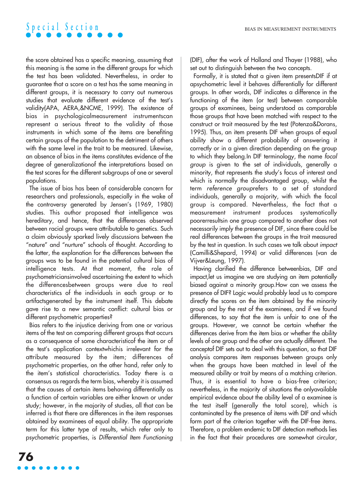

the score obtained has a specific meaning, assuming that this meaning is the same in the different groups for which the test has been validated. Nevertheless, in order to guarantee that a score on a test has the same meaning in different groups, it is necessary to carry out numerous studies that evaluate different evidence of the test's validity(APA, AERA,&NCME, 1999). The existence of bias in psychologicalmeasurement instrumentscan represent a serious threat to the validity of those instruments in which some of the items are benefiting certain groups of the population to the detriment of others with the same level in the trait to be measured. Likewise, an absence of bias in the items constitutes evidence of the degree of generalizationof the interpretations based on the test scores for the different subgroups of one or several populations.

The issue of bias has been of considerable concern for researchers and professionals, especially in the wake of the controversy generated by Jensen's (1969, 1980) studies. This author proposed that intelligence was hereditary, and hence, that the differences observed between racial groups were attributable to genetics. Such a claim obviously sparked lively discussions between the "nature" and "nurture" schools of thought. According to the latter, the explanation for the differences between the groups was to be found in the potential cultural bias of intelligence tests. At that moment, the role of psychometriciansinvolved ascertaining the extent to which the differencesbetween groups were due to real characteristics of the individuals in each group or to artifactsgenerated by the instrument itself. This debate gave rise to a new semantic conflict: cultural bias or different psychometric properties?

Bias refers to the injustice deriving from one or various items of the test on comparing different groups that occurs as a consequence of some characteristicof the item or of the test's application contextwhichis irrelevant for the attribute measured by the item; differences of psychometric properties, on the other hand, refer only to the item's statistical characteristics. Today there is a consensus as regards the term bias, whereby it is assumed that the causes of certain items behaving differentially as a function of certain variables are either known or under study; however, in the majority of studies, all that can be inferred is that there are differences in the item responses obtained by examinees of equal ability. The appropriate term for this latter type of results, which refer only to psychometric properties, is Differential Item Functioning (DIF), after the work of Holland and Thayer (1988), who set out to distinguish between the two concepts.

Formally, it is stated that a given item presentsDIF if at apsychometric level it behaves differentially for different groups. In other words, DIF indicates a difference in the functioning of the item (or test) between comparable groups of examinees, being understood as comparable those groups that have been matched with respect to the construct or trait measured by the test (Potenza&Dorans, 1995). Thus, an item presents DIF when groups of equal ability show a different probability of answering it correctly or in a given direction depending on the group to which they belong.In DIF terminology, the name focal group is given to the set of individuals, generally a minority, that represents the study's focus of interest and which is normally the disadvantaged group, whilst the term reference grouprefers to a set of standard individuals, generally a majority, with which the focal group is compared. Nevertheless, the fact that a measurement instrument produces systematically poorerresultsin one group compared to another does not necessarily imply the presence of DIF, since there could be real differences between the groups in the trait measured by the test in question. In such cases we talk about impact (Camilli&Shepard, 1994) or valid differences (van de Vijver&Leung, 1997).

Having clarified the difference betweenbias, DIF and impact,let us imagine we are studying an item potentially biased against a minority group.How can we assess the presence of DIF? Logic would probably lead us to compare directly the scores on the item obtained by the minority group and by the rest of the examinees, and if we found differences, to say that the item is unfair to one of the groups. However, we cannot be certain whether the differences derive from the item bias or whether the ability levels of one group and the other are actually different. The conceptof DIF sets out to deal with this question, so that DIF analysis compares item responses between groups only when the groups have been matched in level of the measured ability or trait by means of a matching criterion. Thus, it is essential to have a bias-free criterion; nevertheless, in the majority of situations the onlyavailable empirical evidence about the ability level of a examinee is the test itself (generally the total score), which is contaminated by the presence of items with DIF and which form part of the criterion together with the DIF-free items. Therefore, a problem endemic to DIF detection methods lies in the fact that their procedures are somewhat circular,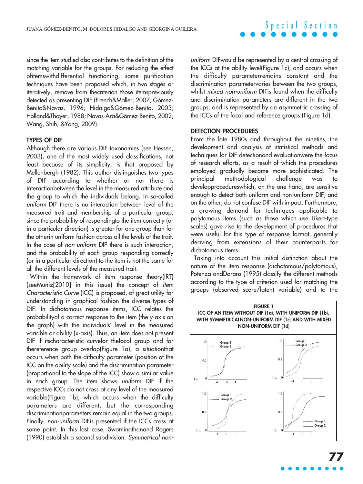since the item studied also contributes to the definition of the matching variable for the groups. For reducing the effect ofitemswithdifferential functioning, some purification techniques have been proposed which, in two stages or iteratively, remove from thecriterion those itemspreviously detected as presenting DIF (French&Maller, 2007, Gómez-Benito&Navas, 1996; Hidalgo&Gómez-Benito, 2003; Holland&Thayer, 1988; Navas-Ara&Gómez-Benito, 2002; Wang, Shih, &Yang, 2009).

#### **TYPES OF DIF**

Although there are various DIF taxonomies (see Hessen, 2003), one of the most widely used classifications, not least because of its simplicity, is that proposed by Mellenbergh (1982). This author distinguishes two types of DIF according to whether or not there is interactionbetween the level in the measured attribute and the group to which the individuals belong. In so-called uniform DIF there is no interaction between level of the measured trait and membership of a particular group, since the probability of respondingto the item correctly (or in a particular direction) is greater for one group than for the otherin uniform fashion across all the levels of the trait. In the case of non-uniform DIF there is such interaction, and the probability of each group responding correctly (or in a particular direction) to the item is not the same for all the different levels of the measured trait.

Within the framework of item response theory(IRT) (seeMuñiz[2010] in this issue) the concept of Item Characteristic Curve (ICC) is proposed, of great utility for understanding in graphical fashion the diverse types of DIF. In dichotomous response items, ICC relates the probabilityof a correct response to the item (the y-axis on the graph) with the individuals' level in the measured variable or ability (x-axis). Thus, an item does not present DIF if itscharacteristic curvefor thefocal group and for thereference group overlap(Figure 1a), a situationthat occurs when both the difficulty parameter (position of the ICC on the ability scale) and the discrimination parameter (proportional to the slope of the ICC) show a similar value in each group. The item shows uniform DIF if the respective ICCs do not cross at any level of the measured variable(Figure 1b), which occurs when the difficulty parameters are different, but the corresponding discriminationparameters remain equal in the two groups. Finally, non-uniform DIFis presented if the ICCs cross at some point. In this last case, Swaminathanand Rogers (1990) establish a second subdivision. Symmetrical non-

uniform DIFwould be represented by a central crossing of the ICCs at the ability level(Figure 1c), and occurs when the difficulty parameterremains constant and the discrimination parametervaries between the two groups, whilst mixed non-uniform DIFis found when the difficulty and discrimination parameters are different in the two groups, and is represented by an asymmetric crossing of the ICCs of the focal and reference groups (Figure 1d).

#### **DETECTION PROCEDURES**

From the late 1980s and throughout the nineties, the development and analysis of statistical methods and techniques for DIF detectionand evaluationwere the focus of research efforts, as a result of which the procedures employed gradually became more sophisticated. The principal methodological challenge was developprocedureswhich, on the one hand, are sensitive enough to detect both uniform and non-uniform DIF, and on the other, do not confuse DIF with impact. Furthermore, a growing demand for techniques applicable to polytomous items (such as those which use Likert-type scales) gave rise to the development of procedures that were useful for this type of response format, generally deriving from extensions of their counterparts for dichotomous items.

Taking into account this initial distinction about the nature of the item response (dichotomous/polytomous), Potenza andDorans (1995) classify the different methods according to the type of criterion used for matching the groups (observed score/latent variable) and to the



**77**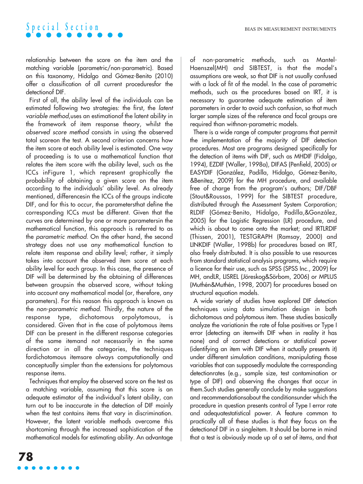relationship between the score on the item and the matching variable (parametric/non-parametric). Based on this taxonomy, Hidalgo and Gómez-Benito (2010) offer a classification of all current proceduresfor the detectionof DIF.

First of all, the ability level of the individuals can be estimated following two strategies: the first, the latent variable method,uses an estimationof the latent ability in the framework of item response theory, whilst the observed score method consists in using the observed total scoreon the test. A second criterion concerns how the item score at each ability level is estimated. One way of proceeding is to use a mathematical function that relates the item score with the ability level, such as the ICCs inFigure 1, which represent graphically the probability of obtaining a given score on the item according to the individuals' ability level. As already mentioned, differencesin the ICCs of the groups indicate DIF, and for this to occur, the parametersthat define the corresponding ICCs must be different. Given that the curves are determined by one or more parametersin the mathematical function, this approach is referred to as the parametric method. On the other hand, the second strategy does not use any mathematical function to relate item response and ability level; rather, it simply takes into account the observed item score at each ability level for each group. In this case, the presence of DIF will be determined by the obtaining of differences between groupsin the observed score, without taking into account any mathematical model (or, therefore, any parameters). For this reason this approach is known as the non-parametric method. Thirdly, the nature of the response type, dichotomous orpolytomous, is considered. Given that in the case of polytomous items DIF can be present in the different response categories of the same itemand not necessarily in the same direction or in all the categories, the techniques fordichotomous itemsare always computationally and conceptually simpler than the extensions for polytomous response items.

Techniques that employ the observed score on the test as a matching variable, assuming that this score is an adequate estimator of the individual's latent ability, can turn out to be inaccurate in the detection of DIF mainly when the test contains items that vary in discrimination. However, the latent variable methods overcome this shortcoming through the increased sophistication of the mathematical models for estimating ability. An advantage of non-parametric methods, such as Mantel-Haenszel(MH) and SIBTEST, is that the model's assumptions are weak, so that DIF is not usually confused with a lack of fit of the model. In the case of parametric methods, such as the procedures based on IRT, it is necessary to guarantee adequate estimation of item parameters in order to avoid such confusion, so that much larger sample sizes of the reference and focal groups are required than withnon-parametric models.

There is a wide range of computer programs that permit the implementation of the majority of DIF detection procedures. Most are programs designed specifically for the detection of items with DIF, such as MHDIF (Fidalgo, 1994), EZDIF (Waller, 1998a), DIFAS (Penfield, 2005) or EASYDIF (González, Padilla, Hidalgo, Gómez-Benito, &Benítez, 2009) for the MH procedure, and available free of charge from the program's authors; DIF/DBF (Stout&Roussos, 1999) for the SIBTEST procedure, distributed through the Assessment System Corporation; RLDIF (Gómez-Benito, Hidalgo, Padilla,&González, 2005) for the Logistic Regression (LR) procedure, and which is about to come onto the market; and IRTLRDIF (Thissen, 2001), TESTGRAPH (Ramsay, 2000) and LINKDIF (Waller, 1998b) for procedures based on IRT, also freely distributed. It is also possible to use resources from standard statistical analysis programs, which require a licence for their use, such as SPSS (SPSS Inc., 2009) for MH, andLR, LISREL (Jöreskog&Sörbom, 2006) or MPLUS (Muthén&Muthén, 1998, 2007) for procedures based on structural equation models.

A wide variety of studies have explored DIF detection techniques using data simulation design in both dichotomous and polytomous item. These studies basically analyze the variationin the rate of false positives or Type I error (detecting an itemwith DIF when in reality it has none) and of correct detections or statistical power (identifying an item with DIF when it actually presents it) under different simulation conditions, manipulating those variables that can supposedly modulate the corresponding detectionrates (e.g., sample size, test contamination or type of DIF) and observing the changes that occur in them.Such studies generally conclude by make suggestions and recommendationsabout the conditionsunder which the procedure in question presents control of Type I error rate and adequatestatistical power. A feature common to practically all of these studies is that they focus on the detectionof DIF in a singleitem. It should be borne in mind that a test is obviously made up of a set of items, and that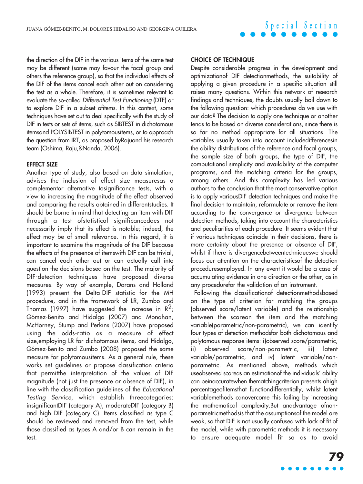the direction of the DIF in the various items of the same test may be different (some may favour the focal group and others the reference group), so that the individual effects of the DIF of the items cancel each other out on considering the test as a whole. Therefore, it is sometimes relevant to evaluate the so-called Differential Test Functioning (DTF) or to explore DIF in a subset ofitems. In this context, some techniques have set out to deal specifically with the study of DIF in tests or sets of items, such as SIBTEST in dichotomous itemsand POLYSIBTEST in polytomousitems, or to approach the question from IRT, as proposed byRajuand his research team (Oshima, Raju,&Nanda, 2006).

#### **EFFECT SIZE**

Another type of study, also based on data simulation, advises the inclusion of effect size measuresas a complementor alternative tosignificance tests, with a view to increasing the magnitude of the effect observed and comparing the results obtained in differentstudies. It should be borne in mind that detecting an item with DIF through a test ofstatistical significancedoes not necessarily imply that its effect is notable; indeed, the effect may be of small relevance. In this regard, it is important to examine the magnitude of the DIF because the effects of the presence of itemswith DIF can be trivial, can cancel each other out or can actually call into question the decisions based on the test. The majority of DIF-detection techniques have proposed diverse measures. By way of example, Dorans and Holland (1993) present the Delta-DIF statistic for the MH procedure, and in the framework of LR, Zumbo and Thomas (1997) have suggested the increase in  $\mathbb{R}^2$ ; Gómez-Benito and Hidalgo (2007) and Monahan, McHorney, Stump and Perkins (2007) have proposed using the odds-ratio as a measure of effect size,employing LR for dichotomous items, and Hidalgo, Gómez-Benito and Zumbo (2008) proposed the same measure for polytomousitems. As a general rule, these works set guidelines or propose classification criteria that permitthe interpretation of the values of DIF magnitude (not just the presence or absence of DIF), in line with the classification guidelines of the Educational Testing Service, which establish threecategories: insignificantDIF (category A), moderateDIF (category B) and high DIF (category C). Items classified as type C should be reviewed and removed from the test, while those classified as types A and/or B can remain in the test.

#### **CHOICE OF TECHNIQUE**

Despite considerable progress in the development and optimizationof DIF detectionmethods, the suitability of applying a given procedure in a specific situation still raises many questions. Within this network of research findings and techniques, the doubts usually boil down to the following question: which procedures do we use with our data? The decision to apply one technique or another tends to be based on diverse considerations, since there is so far no method appropriate for all situations. The variables usually taken into account includedifferencesin the ability distributions of the reference and focal groups, the sample size of both groups, the type of DIF, the computational simplicity and availability of the computer programs, and the matching criteria for the groups, among others. And this complexity has led various authors to the conclusion that the most conservative option is to apply variousDIF detection techniques and make the final decision to maintain, reformulate or remove the item according to the convergence or divergence between detection methods, taking into account the characteristics and peculiarities of each procedure. It seems evident that if various techniques coincide in their decisions, there is more certainty about the presence or absence of DIF, whilst if there is divergencebetweentechniqueswe should focus our attention on the characteristicsof the detection proceduresemployed. In any event it would be a case of accumulating evidence in one direction or the other, as in any procedurefor the validation of an instrument.

Following the classificationof detectionmethodsbased on the type of criterion for matching the groups (observed score/latent variable) and the relationship between the scoreon the item and the matching variable(parametric/non-parametric), we can identify four types of detection methodsfor both dichotomous and polytomous response items: i)observed score/parametric, ii) observed score/non-parametric, iii) latent variable/parametric, and iv) latent variable/nonparametric. As mentioned above, methods which useobserved scoreas an estimationof the individuals' ability can beinaccuratewhen thematchingcriterion presents ahigh percentageofitemsthat functiondifferentially, whilst latent variablemethods canovercome this failing by increasing the mathematical complexity.But anadvantage ofnonparametricmethodsis that the assumptionsof the model are weak, so that DIF is not usually confused with lack of fit of the model, while with parametric methods it is necessary to ensure adequate model fit so as to avoid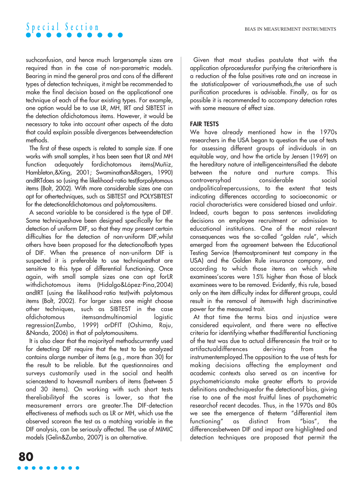

suchconfusion, and hence much largersample sizes are required than in the case of non-parametric models. Bearing in mind the general pros and cons of the different types of detection techniques, it might be recommended to make the final decision based on the applicationof one technique of each of the four existing types. For example, one option would be to use LR, MH, IRT and SIBTEST in the detection ofdichotomous items. However, it would be necessary to take into account other aspects of the data that could explain possible divergences betweendetection methods.

The first of these aspects is related to sample size. If one works with small samples, it has been seen that LR and MH function adequately fordichotomous items(Muñiz, Hambleton,&Xing, 2001; Swaminathan&Rogers, 1990) andIRTdoes so (using the likelihood-ratio test)forpolytomous items (Bolt, 2002). With more considerable sizes one can opt for othertechniques, such as SIBTEST and POLYSIBTEST for the detectionofdichotomous and polytomousitems.

A second variable to be considered is the type of DIF. Some techniqueshave been designed specifically for the detection of uniform DIF, so that they may present certain difficulties for the detection of non-uniform DIF,whilst others have been proposed for the detectionofboth types of DIF. When the presence of non-uniform DIF is suspected it is preferable to use techniquesthat are sensitive to this type of differential functioning. Once again, with small sample sizes one can opt forLR withdichotomous items (Hidalgo&López-Pina,2004) andIRT (using the likelihood-ratio test)with polytomous items (Bolt, 2002). For larger sizes one might choose other techniques, such as SIBTEST in the case ofdichotomous itemsandmultinomial logistic regression(Zumbo, 1999) orDFIT (Oshima, Raju, &Nanda, 2006) in that of polytomousitems.

It is also clear that the majorityof methodscurrently used for detecting DIF require that the test to be analyzed contains alarge number of items (e.g., more than 30) for the result to be reliable. But the questionnaires and surveys customarily used in the social and health sciencestend to havesmall numbers of items (between 5 and 30 items). On working with such short tests thereliabilityof the scores is lower, so that the measurement errors are greater.The DIF-detection effectiveness of methods such as LR or MH, which use the observed scoreon the test as a matching variable in the DIF analysis, can be seriously affected. The use of MIMIC models (Gelin&Zumbo, 2007) is an alternative.

Given that most studies postulate that with the application ofproceduresfor purifying the criterionthere is a reduction of the false positives rate and an increase in the statisticalpower of variousmethods, the use of such purification procedures is advisable. Finally, as far as possible it is recommended to accompany detection rates with some measure of effect size.

#### **FAIR TESTS**

We have already mentioned how in the 1970s researchers in the USA began to question the use of tests for assessing different groups of individuals in an equitable way, and how the article by Jensen (1969) on the hereditary nature of intelligenceintensified the debate between the nature and nurture camps. This controversyhad considerable social andpoliticalrepercussions, to the extent that tests indicating differences according to socioeconomic or racial characteristics were considered biased and unfair. Indeed, courts began to pass sentences invalidating decisions on employee recruitment or admission to educational institutions. One of the most relevant consequences was the so-called "golden rule", which emerged from the agreement between the Educational Testing Service (themostprominent test company in the USA) and the Golden Rule insurance company, and according to which those items on which white examinees'scores were 15% higher than those of black examinees were to be removed. Evidently, this rule, based only on the item difficulty index for different groups, could result in the removal of itemswith high discriminative power for the measured trait.

At that time the terms bias and injustice were considered equivalent, and there were no effective criteria for identifying whether thedifferential functioning of the test was due to actual differencesin the trait or to artifactualdifferences deriving from the instrumentemployed.The opposition to the use of tests for making decisions affecting the employment and academic contexts also served as an incentive for psychometriciansto make greater efforts to provide definitions andtechniquesfor the detectionof bias, giving rise to one of the most fruitful lines of psychometric researchof recent decades. Thus, in the 1970s and 80s we see the emergence of theterm "differential item functioning" as distinct from "bias", the differencesbetween DIF and impact are highlighted and detection techniques are proposed that permit the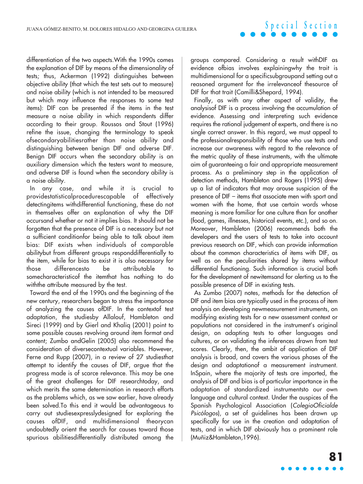differentiation of the two aspects.With the 1990s comes the explanation of DIF by means of the dimensionality of tests; thus, Ackerman (1992) distinguishes between objective ability (that which the test sets out to measure) and noise ability (which is not intended to be measured but which may influence the responses to some test items): DIF can be presented if the items in the test measure a noise ability in which respondents differ according to their group. Roussos and Stout (1996) refine the issue, changing the terminology to speak ofsecondaryabilitiesrather than noise ability and distinguishing between benign DIF and adverse DIF. Benign DIF occurs when the secondary ability is an auxiliary dimension which the testers want to measure, and adverse DIF is found when the secondary ability is a noise ability.

In any case, and while it is crucial to providestatisticalprocedurescapable of effectively detectingitems withdifferential functioning, these do not in themselves offer an explanation of why the DIF occursand whether or not it implies bias. It should not be forgotten that the presence of DIF is a necessary but not a sufficient conditionfor being able to talk about item bias: DIF exists when individuals of comparable abilitybut from different groups responddifferentially to the item, while for bias to exist it is also necessary for those differencesto be attributable to somecharacteristicof the itemthat has nothing to do withthe attribute measured by the test.

Toward the end of the 1990s and the beginning of the new century, researchers began to stress the importance of analyzing the causes ofDIF. In the contextof test adaptation, the studiesby Allalouf, Hambleton and Sireci (1999) and by Gierl and Khaliq (2001) point to some possible causes revolving around item format and content; Zumbo andGelin (2005) also recommend the consideration of diversecontextual variables. However, Ferne and Rupp (2007), in a review of 27 studiesthat attempt to identify the causes of DIF, argue that the progress made is of scarce relevance. This may be one of the great challenges for DIF researchtoday, and which merits the same determination in research efforts as the problems which, as we saw earlier, have already been solved.To this end it would be advantageous to carry out studiesexpresslydesigned for exploring the causes ofDIF, and multidimensional theorycan undoubtedly orient the search for causes toward those spurious abilitiesdifferentially distributed among the

groups compared. Considering a result withDIF as evidence ofbias involves explainingwhy the trait is multidimensional for a specificsubgroupand setting out a reasoned argument for the irrelevanceof thesource of DIF for that trait (Camilli&Shepard, 1994).

Finally, as with any other aspect of validity, the analysisof DIF is a process involving the accumulation of evidence. Assessing and interpreting such evidence requires the rational judgement of experts, and there is no single correct answer. In this regard, we must appeal to the professionalresponsibility of those who use tests and increase our awareness with regard to the relevance of the metric quality of these instruments, with the ultimate aim of guaranteeing a fair and appropriate measurement process. As a preliminary step in the application of detection methods, Hambleton and Rogers (1995) drew up a list of indicators that may arouse suspicion of the presence of DIF – items that associate men with sport and women with the home, that use certain words whose meaning is more familiar for one culture than for another (food, games, illnesses, historical events, etc.), and so on. Moreover, Hambleton (2006) recommends both the developers and the users of tests to take into account previous research on DIF, which can provide information about the common characteristics of items with DIF, as well as on the peculiarities shared by items without differential functioning. Such information is crucial both for the development of newitemsand for alerting us to the possible presence of DIF in existing tests.

As Zumbo (2007) notes, methods for the detection of DIF and item bias are typically used in the process of item analysis on developing newmeasurement instruments, on modifying existing tests for a new assessment context or populations not considered in the instrument's original design, on adapting tests to other languages and cultures, or on validating the inferences drawn from test scores. Clearly, then, the ambit of application of DIF analysis is broad, and covers the various phases of the design and adaptationof a measurement instrument. InSpain, where the majority of tests are imported, the analysis of DIF and bias is of particular importance in the adaptation of standardized instrumentsto our own language and cultural context. Under the auspices of the Spanish Psychological Association (ColegioOficialde Psicólogos), a set of guidelines has been drawn up specifically for use in the creation and adaptation of tests, and in which DIF obviously has a prominent role (Muñiz&Hambleton,1996).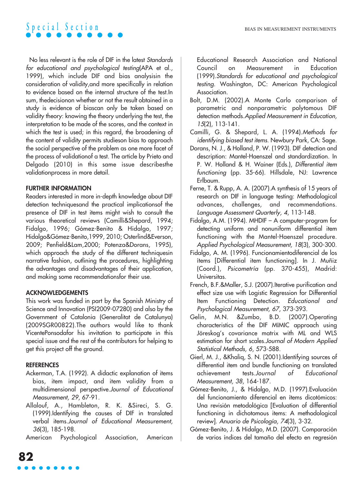No less relevant is the role of DIF in the latest Standards for educational and psychological testing(APA et al., 1999), which include DIF and bias analysisin the consideration of validity,and more specifically in relation to evidence based on the internal structure of the test.In sum, thedecisionon whether or not the result obtained in a study is evidence of biascan only be taken based on validity theory: knowing the theory underlying the test, the interpretation to be made of the scores, and the context in which the test is used; in this regard, the broadening of the content of validity permits studieson bias to approach the social perspective of the problem as one more facet of the process of validationof a test. The article by Prieto and Delgado (2010) in this same issue describesthe validationprocess in more detail.

#### **FURTHER INFORMATION**

Readers interested in more in-depth knowledge about DIF detection techniquesand the practical implicationsof the presence of DIF in test items might wish to consult the various theoretical reviews (Camilli&Shepard, 1994; Fidalgo, 1996; Gómez-Benito & Hidalgo, 1997; Hidalgo&Gómez-Benito,1999, 2010; Osterlind&Everson, 2009; Penfield&Lam,2000; Potenza&Dorans, 1995), which approach the study of the different techniquesin narrative fashion, outlining the procedures, highlighting the advantages and disadvantages of their application, and making some recommendationsfor their use.

#### **ACKNOWLEDGEMENTS**

This work was funded in part by the Spanish Ministry of Science and Innovation (PSI2009-07280) and also by the Government of Catalonia (Generalitat de Catalunya) (2009SGR00822).The authors would like to thank VicentePonsodafor his invitation to participate in this special issue and the rest of the contributors for helping to get this project off the ground.

#### **REFERENCES**

- Ackerman, T.A. (1992). A didactic explanation of items bias, item impact, and item validity from a multidimensional perspective.Journal of Educational Measurement, 29, 67-91.
- Allalouf, A., Hambleton, R. K. &Sireci, S. G. (1999).Identifying the causes of DIF in translated verbal items.Journal of Educational Measurement, 36(3), 185-198.

American Psychological Association, American

Educational Research Association and National Council on Measurement in Education (1999).Standards for educational and psychological testing. Washington, DC: American Psychological Association.

- Bolt, D.M. (2002).A Monte Carlo comparison of parametric and nonparametric polytomous DIF detection methods.Applied Measurement in Education, 15(2), 113-141.
- Camilli, G. & Shepard, L. A. (1994).Methods for identifying biased test items. Newbury Park, CA: Sage.
- Dorans, N. J., & Holland, P. W. (1993). DIF detection and description: Mantel-Haenszel and standardization. In P. W. Holland & H. Wainer (Eds.), Differential item functioning (pp. 35-66). Hillsdale, NJ: Lawrence Erlbaum.
- Ferne, T. & Rupp, A. A. (2007).A synthesis of 15 years of research on DIF in language testing: Methodological advances, challenges, and recommendations. Language Assessment Quarterly, 4, 113-148.
- Fidalgo, A.M. (1994). MHDIF A computer-program for detecting uniform and nonuniform differential item functioning with the Mantel-Haenszel procedure. Applied Psychological Measurement, 18(3), 300-300.
- Fidalgo, A. M. (1996). Funcionamientodiferencial de los ítems [Differential item functioning]. In J. Muñiz (Coord.), Psicometría (pp. 370-455), Madrid: Universitas.
- French, B.F.&Maller, S.J. (2007).Iterative purification and effect size use with Logistic Regression for Differential Item Functioning Detection. Educational and Psychological Measurement, 67, 373-393.
- Gelin, M.N. &Zumbo, B.D. (2007).Operating characteristics of the DIF MIMIC approach using Jöreskog's covariance matrix with ML and WLS estimation for short scales.Journal of Modern Applied Statistical Methods, 6, 573-588.
- Gierl, M. J., &Khaliq, S. N. (2001).Identifying sources of differential item and bundle functioning on translated achievement tests.Journal of Educational Measurement, 38, 164-187.
- Gómez-Benito, J., & Hidalgo, M.D. (1997).Evaluación del funcionamiento diferencial en ítems dicotómicos: Una revisión metodológica [Evaluation of differential functioning in dichotomous items: A methodological review]. Anuario de Psicología, 74(3), 3-32.
- Gómez-Benito, J. & Hidalgo, M.D. (2007). Comparación de varios índices del tamaño del efecto en regresión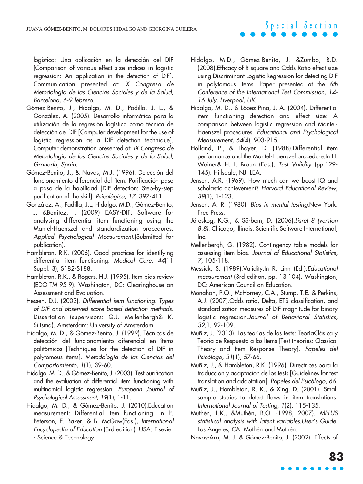logística: Una aplicación en la detección del DIF [Comparison of various effect size indices in logistic regression: An application in the detection of DIF]. Communication presented at: X Congreso de Metodología de las Ciencias Sociales y de la Salud, Barcelona, 6-9 febrero.

- Gómez-Benito, J., Hidalgo, M. D., Padilla, J. L., & González, A. (2005). Desarrollo informático para la utilización de la regresión logística como técnica de detección del DIF [Computer development for the use of logistic regression as a DIF detection technique]. Computer demonstration presented at: IX Congreso de Metodología de las Ciencias Sociales y de la Salud, Granada, Spain.
- Gómez-Benito, J., & Navas, M.J. (1996). Detección del funcionamiento diferencial del ítem: Purificación paso a paso de la habilidad [DIF detection: Step-by-step purification of the skill]. Psicológica, 17, 397-411.
- González, A., Padilla, J.L, Hidalgo, M.D., Gómez-Benito, J. &Benítez, I. (2009) EASY-DIF: Software for analysing differential item functioning using the Mantel-Haenszel and standardization procedures. Applied Psychological Measurement.(Submitted for publication).
- Hambleton, R.K. (2006). Good practices for identifying differential item functioning. Medical Care, 44(11) Suppl. 3), S182-S188.
- Hambleton, R.K., & Rogers, H.J. (1995). Item bias review (EDO-TM-95-9). Washington, DC: Clearinghouse on Assessment and Evaluation.
- Hessen, D.J. (2003). Differential item functioning: Types of DIF and observed score based detection methods. Dissertation (supervisors: G.J. Mellenbergh& K. Sijtsma). Amsterdam: University of Amsterdam.
- Hidalgo, M. D., & Gómez-Benito, J. (1999). Técnicas de detección del funcionamiento diferencial en ítems politómicos [Techniques for the detection of DIF in polytomous items]. Metodología de las Ciencias del Comportamiento, 1(1), 39-60.
- Hidalgo, M. D., & Gómez-Benito, J. (2003). Test purification and the evaluation of differential item functioning with multinomial logistic regression. European Journal of Psychological Assessment, 19(1), 1-11.
- Hidalgo, M. D., & Gómez-Benito, J. (2010).Education measurement: Differential item functioning. In P. Peterson, E. Baker, & B. McGaw(Eds.), International Encyclopedia of Education (3rd edition). USA: Elsevier - Science & Technology.
- Hidalgo, M.D., Gómez-Benito, J. &Zumbo, B.D. (2008).Efficacy of R-square and Odds-Ratio effect size using Discriminant Logistic Regression for detecting DIF in polytomous items. Paper presented at the 6th Conference of the International Test Commission, 14- 16 July, Liverpool, UK.
- Hidalgo, M. D., & López-Pina, J. A. (2004). Differential item functioning detection and effect size: A comparison between logistic regression and Mantel-Haenszel procedures. Educational and Psychological Measurement, 64(4), 903-915.
- Holland, P., & Thayer, D. (1988).Differential item performance and the Mantel-Haenszel procedure.In H. Wainer& H. I. Braun (Eds.), Test Validity (pp.129-145). Hillsdale, NJ: LEA.
- Jensen, A.R. (1969). How much can we boost IQ and scholastic achievement? Harvard Educational Review, 39(1), 1-123.
- Jensen, A. R. (1980). Bias in mental testing.New York: Free Press.
- Jöreskog, K.G., & Sörbom, D. (2006).Lisrel 8 (version 8.8). Chicago, Illinois: Scientific Software International, Inc.
- Mellenbergh, G. (1982). Contingency table models for assessing item bias. Journal of Educational Statistics, 7, 105-118.
- Messick, S. (1989).Validity.In R. Linn (Ed.).Educational measurement (3rd edition, pp. 13-104). Washington, DC: American Council on Education.
- Monahan, P.O., McHorney, C.A., Stump, T.E. & Perkins, A.J. (2007).Odds-ratio, Delta, ETS classification, and standardization measures of DIF magnitude for binary logistic regression.Journal of Behavioral Statistics, 32,1, 92-109.
- Muñiz, J. (2010). Las teorías de los tests: TeoríaClásica y Teoría de Respuesta a los Ítems [Test theories: Classical Theory and Item Response Theory]. Papeles del Psicólogo, 31(1), 57-66.
- Muñiz, J., & Hambleton, R.K. (1996). Directrices para la traduccion y adaptacion de los tests [Guidelines for test translation and adaptation]. Papeles del Psicólogo, 66.
- Muñiz, J., Hambleton, R. K., & Xing, D. (2001). Small sample studies to detect flaws in item translations. International Journal of Testing, 1(2), 115-135.
- Muthén, L.K., &Muthén, B.O. (1998, 2007). MPLUS statistical analysis with latent variables.User's Guide. Los Angeles, CA: Muthén and Muthén.

Navas-Ara, M. J. & Gómez-Benito, J. (2002). Effects of